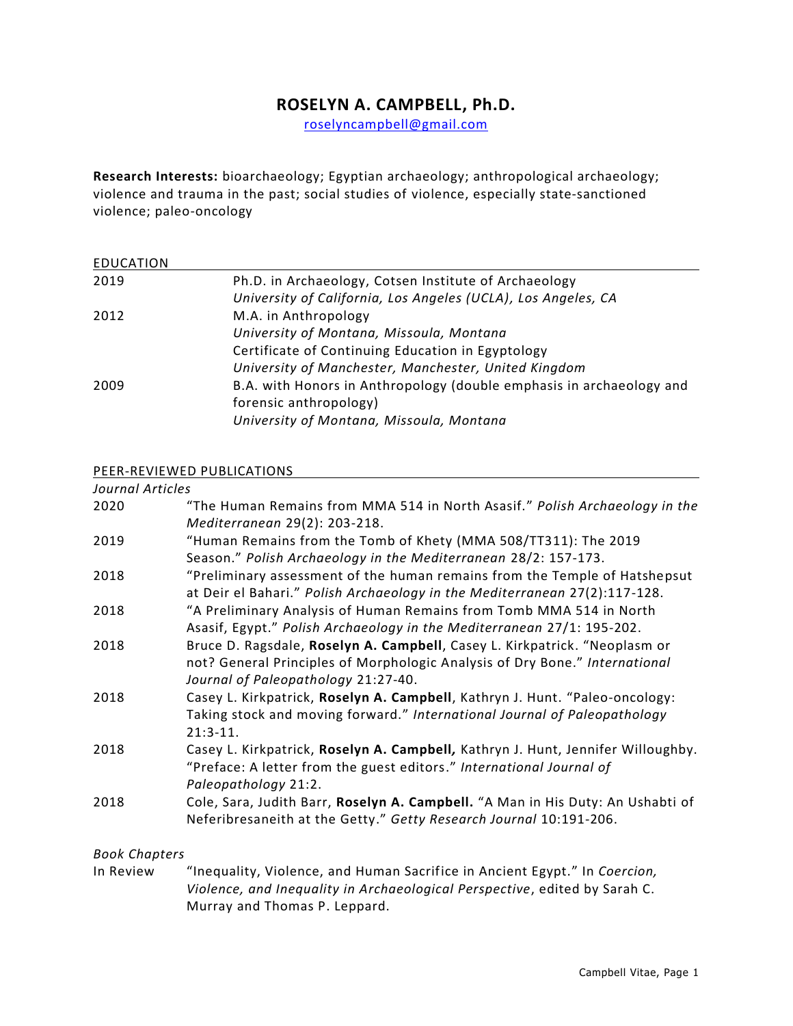# **ROSELYN A. CAMPBELL, Ph.D.**

[roselyncampbell@gmail.com](mailto:roselyncampbell@gmail.com)

**Research Interests:** bioarchaeology; Egyptian archaeology; anthropological archaeology; violence and trauma in the past; social studies of violence, especially state-sanctioned violence; paleo-oncology

| Ph.D. in Archaeology, Cotsen Institute of Archaeology                |
|----------------------------------------------------------------------|
| University of California, Los Angeles (UCLA), Los Angeles, CA        |
| M.A. in Anthropology                                                 |
| University of Montana, Missoula, Montana                             |
| Certificate of Continuing Education in Egyptology                    |
| University of Manchester, Manchester, United Kingdom                 |
| B.A. with Honors in Anthropology (double emphasis in archaeology and |
| forensic anthropology)                                               |
| University of Montana, Missoula, Montana                             |
|                                                                      |

#### PEER-REVIEWED PUBLICATIONS

| Journal Articles |                                                                                                                                                                                                  |
|------------------|--------------------------------------------------------------------------------------------------------------------------------------------------------------------------------------------------|
| 2020             | "The Human Remains from MMA 514 in North Asasif." Polish Archaeology in the<br>Mediterranean 29(2): 203-218.                                                                                     |
| 2019             | "Human Remains from the Tomb of Khety (MMA 508/TT311): The 2019<br>Season." Polish Archaeology in the Mediterranean 28/2: 157-173.                                                               |
| 2018             | "Preliminary assessment of the human remains from the Temple of Hatshepsut<br>at Deir el Bahari." Polish Archaeology in the Mediterranean 27(2):117-128.                                         |
| 2018             | "A Preliminary Analysis of Human Remains from Tomb MMA 514 in North<br>Asasif, Egypt." Polish Archaeology in the Mediterranean 27/1: 195-202.                                                    |
| 2018             | Bruce D. Ragsdale, Roselyn A. Campbell, Casey L. Kirkpatrick. "Neoplasm or<br>not? General Principles of Morphologic Analysis of Dry Bone." International<br>Journal of Paleopathology 21:27-40. |
| 2018             | Casey L. Kirkpatrick, Roselyn A. Campbell, Kathryn J. Hunt. "Paleo-oncology:<br>Taking stock and moving forward." International Journal of Paleopathology<br>$21:3-11.$                          |
| 2018             | Casey L. Kirkpatrick, Roselyn A. Campbell, Kathryn J. Hunt, Jennifer Willoughby.<br>"Preface: A letter from the guest editors." International Journal of<br>Paleopathology 21:2.                 |
| 2018             | Cole, Sara, Judith Barr, Roselyn A. Campbell. "A Man in His Duty: An Ushabti of<br>Neferibresaneith at the Getty." Getty Research Journal 10:191-206.                                            |

### *Book Chapters*

In Review "Inequality, Violence, and Human Sacrifice in Ancient Egypt." In *Coercion, Violence, and Inequality in Archaeological Perspective*, edited by Sarah C. Murray and Thomas P. Leppard.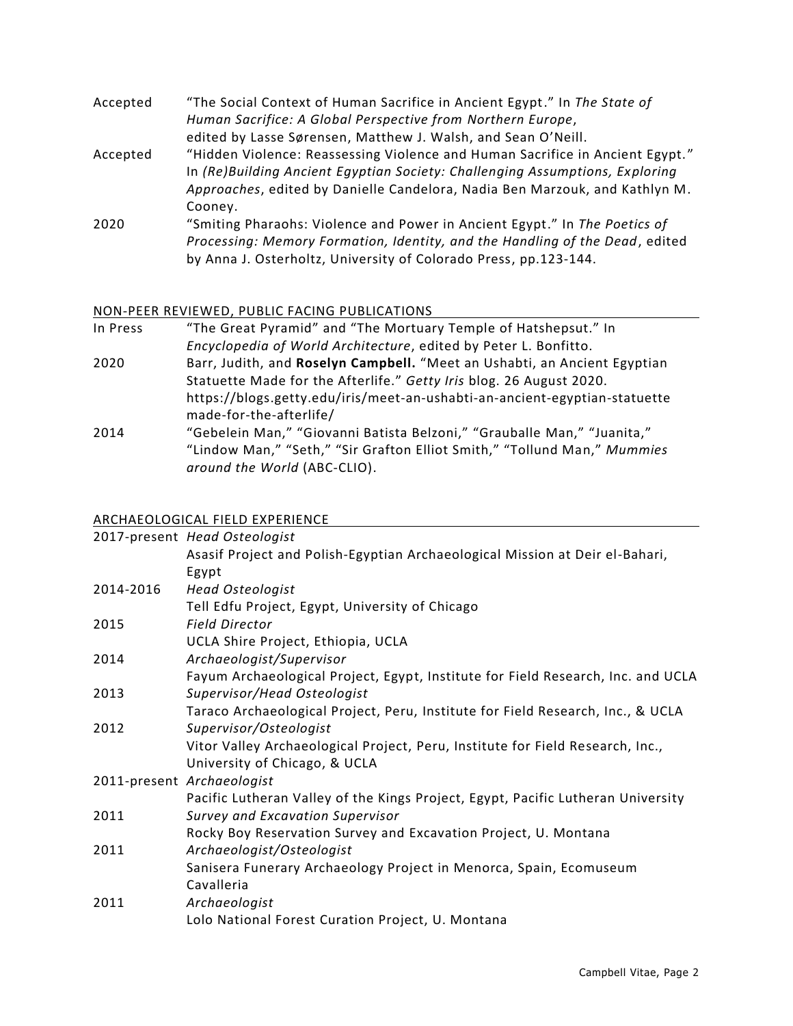| Accepted | "The Social Context of Human Sacrifice in Ancient Egypt." In The State of     |
|----------|-------------------------------------------------------------------------------|
|          | Human Sacrifice: A Global Perspective from Northern Europe,                   |
|          | edited by Lasse Sørensen, Matthew J. Walsh, and Sean O'Neill.                 |
| Accepted | "Hidden Violence: Reassessing Violence and Human Sacrifice in Ancient Egypt." |
|          | In (Re)Building Ancient Egyptian Society: Challenging Assumptions, Exploring  |
|          | Approaches, edited by Danielle Candelora, Nadia Ben Marzouk, and Kathlyn M.   |
|          | Cooney.                                                                       |
| 2020     | "Smiting Pharaohs: Violence and Power in Ancient Egypt." In The Poetics of    |
|          | Processing: Memory Formation, Identity, and the Handling of the Dead, edited  |
|          | by Anna J. Osterholtz, University of Colorado Press, pp.123-144.              |
|          |                                                                               |

# NON-PEER REVIEWED, PUBLIC FACING PUBLICATIONS

| In Press | "The Great Pyramid" and "The Mortuary Temple of Hatshepsut." In                                       |
|----------|-------------------------------------------------------------------------------------------------------|
|          | Encyclopedia of World Architecture, edited by Peter L. Bonfitto.                                      |
| 2020     | Barr, Judith, and Roselyn Campbell. "Meet an Ushabti, an Ancient Egyptian                             |
|          | Statuette Made for the Afterlife." Getty Iris blog. 26 August 2020.                                   |
|          | https://blogs.getty.edu/iris/meet-an-ushabti-an-ancient-egyptian-statuette<br>made-for-the-afterlife/ |
| 2014     | "Gebelein Man," "Giovanni Batista Belzoni," "Grauballe Man," "Juanita,"                               |
|          | "Lindow Man," "Seth," "Sir Grafton Elliot Smith," "Tollund Man," Mummies                              |
|          | around the World (ABC-CLIO).                                                                          |

### ARCHAEOLOGICAL FIELD EXPERIENCE

|           | 2017-present Head Osteologist                                                    |
|-----------|----------------------------------------------------------------------------------|
|           | Asasif Project and Polish-Egyptian Archaeological Mission at Deir el-Bahari,     |
|           | Egypt                                                                            |
| 2014-2016 | <b>Head Osteologist</b>                                                          |
|           | Tell Edfu Project, Egypt, University of Chicago                                  |
| 2015      | <b>Field Director</b>                                                            |
|           | UCLA Shire Project, Ethiopia, UCLA                                               |
| 2014      | Archaeologist/Supervisor                                                         |
|           | Fayum Archaeological Project, Egypt, Institute for Field Research, Inc. and UCLA |
| 2013      | Supervisor/Head Osteologist                                                      |
|           | Taraco Archaeological Project, Peru, Institute for Field Research, Inc., & UCLA  |
| 2012      | Supervisor/Osteologist                                                           |
|           | Vitor Valley Archaeological Project, Peru, Institute for Field Research, Inc.,   |
|           | University of Chicago, & UCLA                                                    |
|           | 2011-present Archaeologist                                                       |
|           | Pacific Lutheran Valley of the Kings Project, Egypt, Pacific Lutheran University |
| 2011      | Survey and Excavation Supervisor                                                 |
|           | Rocky Boy Reservation Survey and Excavation Project, U. Montana                  |
| 2011      | Archaeologist/Osteologist                                                        |
|           | Sanisera Funerary Archaeology Project in Menorca, Spain, Ecomuseum               |
|           | Cavalleria                                                                       |
| 2011      | Archaeologist                                                                    |
|           | Lolo National Forest Curation Project, U. Montana                                |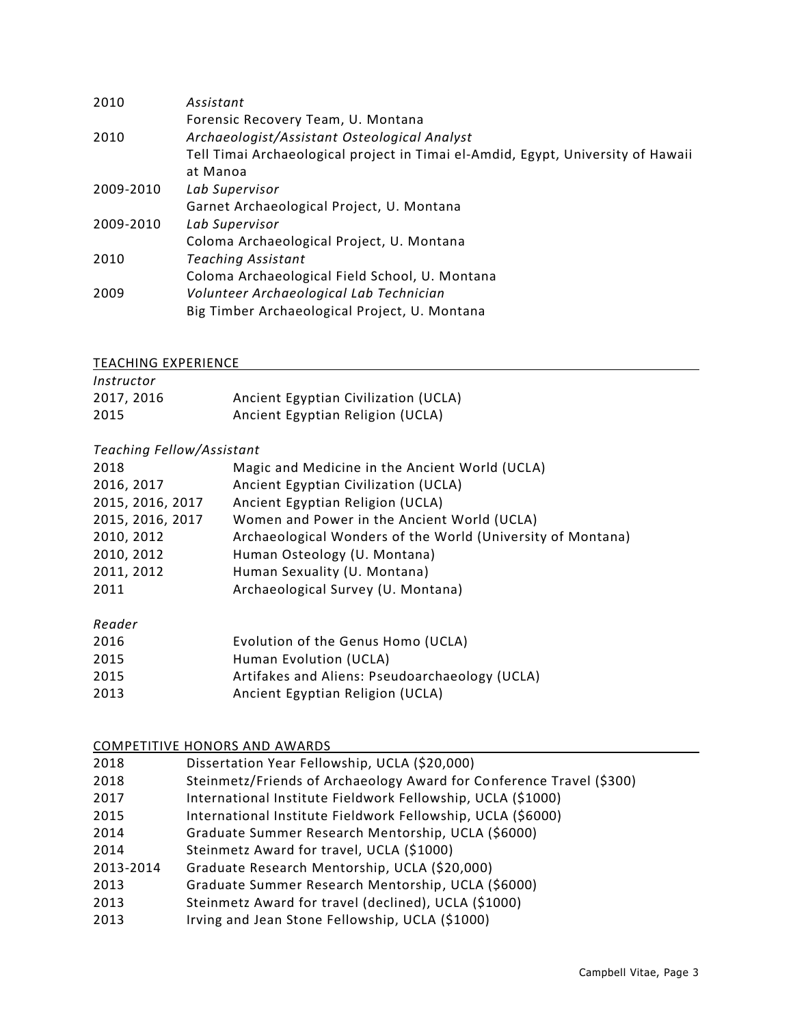| 2010      | Assistant                                                                        |
|-----------|----------------------------------------------------------------------------------|
|           | Forensic Recovery Team, U. Montana                                               |
| 2010      | Archaeologist/Assistant Osteological Analyst                                     |
|           | Tell Timai Archaeological project in Timai el-Amdid, Egypt, University of Hawaii |
|           | at Manoa                                                                         |
| 2009-2010 | Lab Supervisor                                                                   |
|           | Garnet Archaeological Project, U. Montana                                        |
| 2009-2010 | Lab Supervisor                                                                   |
|           | Coloma Archaeological Project, U. Montana                                        |
| 2010      | Teaching Assistant                                                               |
|           | Coloma Archaeological Field School, U. Montana                                   |
| 2009      | Volunteer Archaeological Lab Technician                                          |
|           | Big Timber Archaeological Project, U. Montana                                    |

### TEACHING EXPERIENCE

| Instructor |                                      |
|------------|--------------------------------------|
| 2017, 2016 | Ancient Egyptian Civilization (UCLA) |
| 2015       | Ancient Egyptian Religion (UCLA)     |

### *Teaching Fellow/Assistant*

| 2018             | Magic and Medicine in the Ancient World (UCLA)              |
|------------------|-------------------------------------------------------------|
| 2016, 2017       | Ancient Egyptian Civilization (UCLA)                        |
| 2015, 2016, 2017 | Ancient Egyptian Religion (UCLA)                            |
| 2015, 2016, 2017 | Women and Power in the Ancient World (UCLA)                 |
| 2010, 2012       | Archaeological Wonders of the World (University of Montana) |
| 2010, 2012       | Human Osteology (U. Montana)                                |
| 2011, 2012       | Human Sexuality (U. Montana)                                |
| 2011             | Archaeological Survey (U. Montana)                          |
|                  |                                                             |

# *Reader*

| 2016 | Evolution of the Genus Homo (UCLA)             |
|------|------------------------------------------------|
| 2015 | Human Evolution (UCLA)                         |
| 2015 | Artifakes and Aliens: Pseudoarchaeology (UCLA) |
| 2013 | Ancient Egyptian Religion (UCLA)               |
|      |                                                |

### COMPETITIVE HONORS AND AWARDS

| 2018      | Dissertation Year Fellowship, UCLA (\$20,000)                        |
|-----------|----------------------------------------------------------------------|
| 2018      | Steinmetz/Friends of Archaeology Award for Conference Travel (\$300) |
| 2017      | International Institute Fieldwork Fellowship, UCLA (\$1000)          |
| 2015      | International Institute Fieldwork Fellowship, UCLA (\$6000)          |
| 2014      | Graduate Summer Research Mentorship, UCLA (\$6000)                   |
| 2014      | Steinmetz Award for travel, UCLA (\$1000)                            |
| 2013-2014 | Graduate Research Mentorship, UCLA (\$20,000)                        |
| 2013      | Graduate Summer Research Mentorship, UCLA (\$6000)                   |
| 2013      | Steinmetz Award for travel (declined), UCLA (\$1000)                 |
| 2013      | Irving and Jean Stone Fellowship, UCLA (\$1000)                      |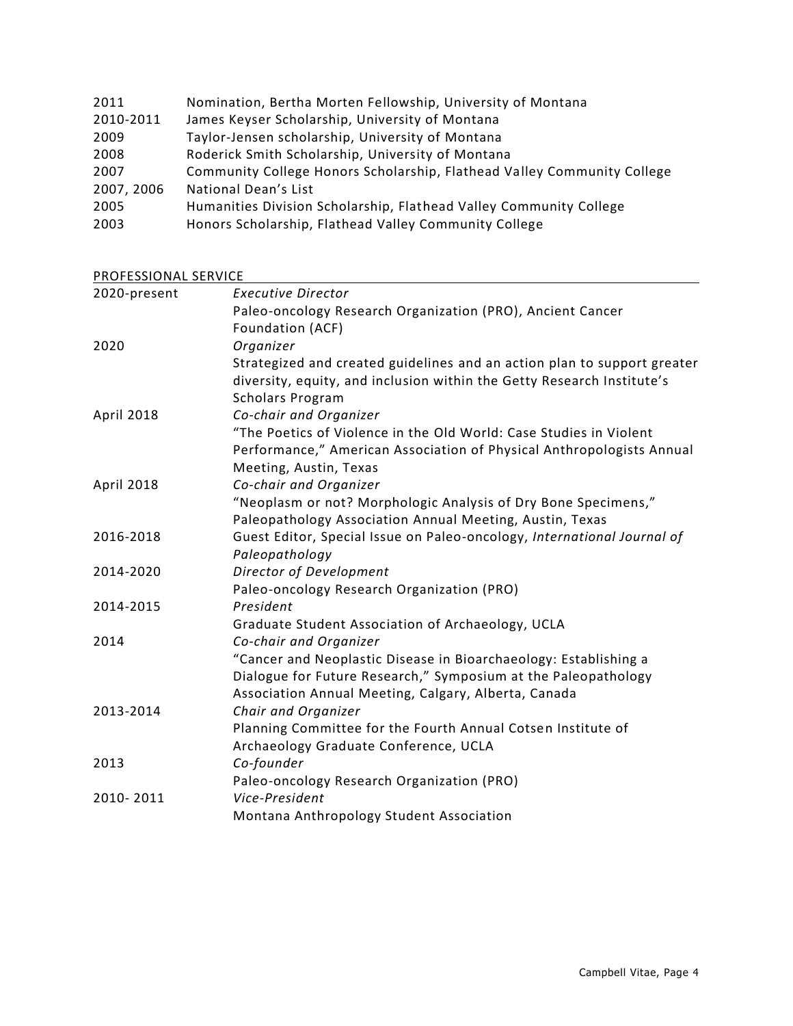| 2011       | Nomination, Bertha Morten Fellowship, University of Montana             |
|------------|-------------------------------------------------------------------------|
| 2010-2011  | James Keyser Scholarship, University of Montana                         |
| 2009       | Taylor-Jensen scholarship, University of Montana                        |
| 2008       | Roderick Smith Scholarship, University of Montana                       |
| 2007       | Community College Honors Scholarship, Flathead Valley Community College |
| 2007, 2006 | National Dean's List                                                    |
| 2005       | Humanities Division Scholarship, Flathead Valley Community College      |
| 2003       | Honors Scholarship, Flathead Valley Community College                   |

PROFESSIONAL SERVICE

| <u>FINUI LUUIUNAL JENVICE</u> |                                                                          |
|-------------------------------|--------------------------------------------------------------------------|
| 2020-present                  | <b>Executive Director</b>                                                |
|                               | Paleo-oncology Research Organization (PRO), Ancient Cancer               |
|                               | Foundation (ACF)                                                         |
| 2020                          | Organizer                                                                |
|                               | Strategized and created guidelines and an action plan to support greater |
|                               | diversity, equity, and inclusion within the Getty Research Institute's   |
|                               | <b>Scholars Program</b>                                                  |
| April 2018                    | Co-chair and Organizer                                                   |
|                               | "The Poetics of Violence in the Old World: Case Studies in Violent       |
|                               | Performance," American Association of Physical Anthropologists Annual    |
|                               | Meeting, Austin, Texas                                                   |
| April 2018                    | Co-chair and Organizer                                                   |
|                               | "Neoplasm or not? Morphologic Analysis of Dry Bone Specimens,"           |
|                               | Paleopathology Association Annual Meeting, Austin, Texas                 |
| 2016-2018                     | Guest Editor, Special Issue on Paleo-oncology, International Journal of  |
|                               | Paleopathology                                                           |
| 2014-2020                     | Director of Development                                                  |
|                               | Paleo-oncology Research Organization (PRO)                               |
| 2014-2015                     | President                                                                |
|                               | Graduate Student Association of Archaeology, UCLA                        |
| 2014                          | Co-chair and Organizer                                                   |
|                               | "Cancer and Neoplastic Disease in Bioarchaeology: Establishing a         |
|                               | Dialogue for Future Research," Symposium at the Paleopathology           |
|                               | Association Annual Meeting, Calgary, Alberta, Canada                     |
| 2013-2014                     | Chair and Organizer                                                      |
|                               | Planning Committee for the Fourth Annual Cotsen Institute of             |
|                               | Archaeology Graduate Conference, UCLA                                    |
| 2013                          | Co-founder                                                               |
|                               | Paleo-oncology Research Organization (PRO)                               |
| 2010-2011                     | Vice-President                                                           |
|                               | Montana Anthropology Student Association                                 |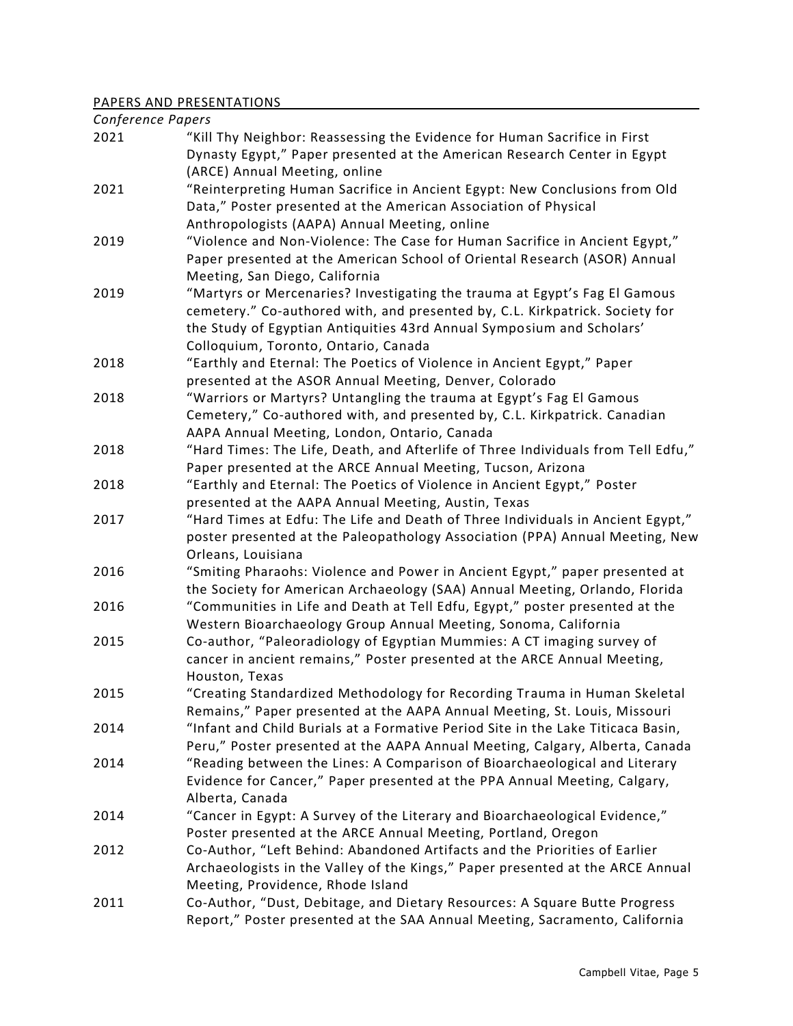## PAPERS AND PRESENTATIONS

| Conference Papers |                                                                                              |
|-------------------|----------------------------------------------------------------------------------------------|
| 2021              | "Kill Thy Neighbor: Reassessing the Evidence for Human Sacrifice in First                    |
|                   | Dynasty Egypt," Paper presented at the American Research Center in Egypt                     |
|                   | (ARCE) Annual Meeting, online                                                                |
| 2021              | "Reinterpreting Human Sacrifice in Ancient Egypt: New Conclusions from Old                   |
|                   | Data," Poster presented at the American Association of Physical                              |
|                   | Anthropologists (AAPA) Annual Meeting, online                                                |
| 2019              | "Violence and Non-Violence: The Case for Human Sacrifice in Ancient Egypt,"                  |
|                   | Paper presented at the American School of Oriental Research (ASOR) Annual                    |
|                   | Meeting, San Diego, California                                                               |
| 2019              | "Martyrs or Mercenaries? Investigating the trauma at Egypt's Fag El Gamous                   |
|                   | cemetery." Co-authored with, and presented by, C.L. Kirkpatrick. Society for                 |
|                   | the Study of Egyptian Antiquities 43rd Annual Symposium and Scholars'                        |
|                   | Colloquium, Toronto, Ontario, Canada                                                         |
| 2018              | "Earthly and Eternal: The Poetics of Violence in Ancient Egypt," Paper                       |
|                   | presented at the ASOR Annual Meeting, Denver, Colorado                                       |
| 2018              | "Warriors or Martyrs? Untangling the trauma at Egypt's Fag El Gamous                         |
|                   | Cemetery," Co-authored with, and presented by, C.L. Kirkpatrick. Canadian                    |
|                   | AAPA Annual Meeting, London, Ontario, Canada                                                 |
| 2018              | "Hard Times: The Life, Death, and Afterlife of Three Individuals from Tell Edfu,"            |
|                   | Paper presented at the ARCE Annual Meeting, Tucson, Arizona                                  |
| 2018              | "Earthly and Eternal: The Poetics of Violence in Ancient Egypt," Poster                      |
|                   | presented at the AAPA Annual Meeting, Austin, Texas                                          |
| 2017              | "Hard Times at Edfu: The Life and Death of Three Individuals in Ancient Egypt,"              |
|                   | poster presented at the Paleopathology Association (PPA) Annual Meeting, New                 |
|                   | Orleans, Louisiana                                                                           |
| 2016              | "Smiting Pharaohs: Violence and Power in Ancient Egypt," paper presented at                  |
|                   | the Society for American Archaeology (SAA) Annual Meeting, Orlando, Florida                  |
| 2016              | "Communities in Life and Death at Tell Edfu, Egypt," poster presented at the                 |
|                   | Western Bioarchaeology Group Annual Meeting, Sonoma, California                              |
| 2015              | Co-author, "Paleoradiology of Egyptian Mummies: A CT imaging survey of                       |
|                   | cancer in ancient remains," Poster presented at the ARCE Annual Meeting,                     |
|                   | Houston, Texas                                                                               |
| 2015              | "Creating Standardized Methodology for Recording Trauma in Human Skeletal                    |
|                   | Remains," Paper presented at the AAPA Annual Meeting, St. Louis, Missouri                    |
| 2014              | "Infant and Child Burials at a Formative Period Site in the Lake Titicaca Basin,             |
|                   | Peru," Poster presented at the AAPA Annual Meeting, Calgary, Alberta, Canada                 |
| 2014              | "Reading between the Lines: A Comparison of Bioarchaeological and Literary                   |
|                   | Evidence for Cancer," Paper presented at the PPA Annual Meeting, Calgary,<br>Alberta, Canada |
|                   | "Cancer in Egypt: A Survey of the Literary and Bioarchaeological Evidence,"                  |
| 2014              | Poster presented at the ARCE Annual Meeting, Portland, Oregon                                |
| 2012              | Co-Author, "Left Behind: Abandoned Artifacts and the Priorities of Earlier                   |
|                   | Archaeologists in the Valley of the Kings," Paper presented at the ARCE Annual               |
|                   | Meeting, Providence, Rhode Island                                                            |
| 2011              | Co-Author, "Dust, Debitage, and Dietary Resources: A Square Butte Progress                   |
|                   | Report," Poster presented at the SAA Annual Meeting, Sacramento, California                  |
|                   |                                                                                              |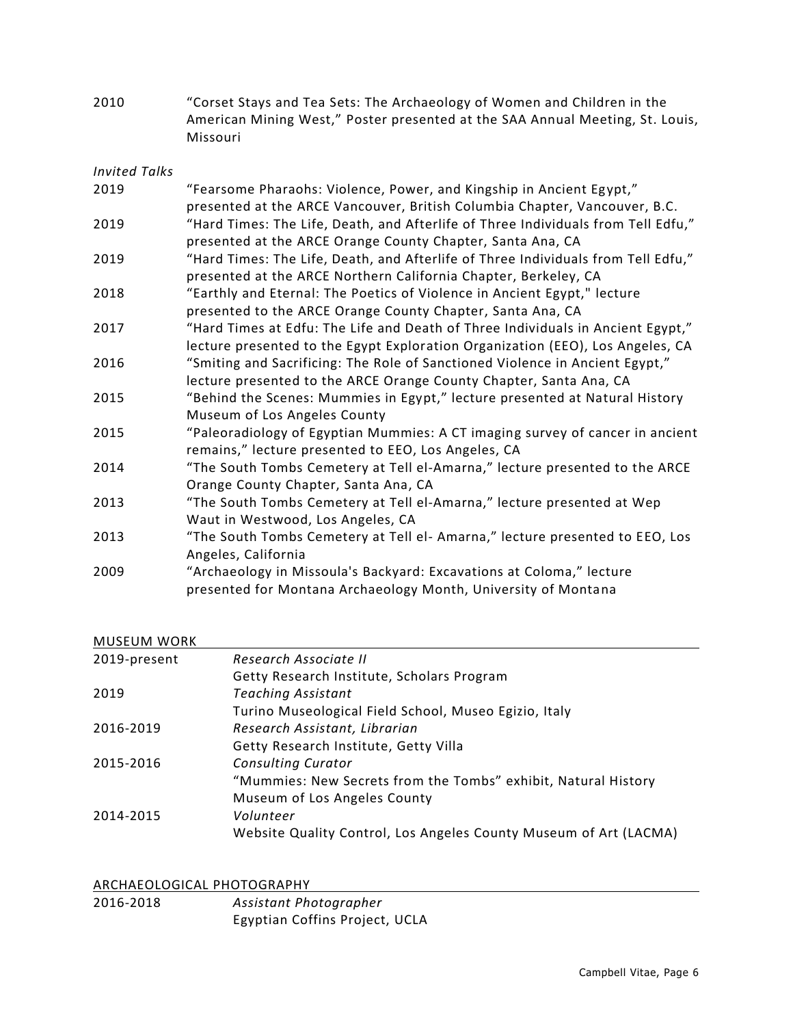2010 "Corset Stays and Tea Sets: The Archaeology of Women and Children in the American Mining West," Poster presented at the SAA Annual Meeting, St. Louis, Missouri

| Invited Talks |
|---------------|
|---------------|

| 2019 | "Fearsome Pharaohs: Violence, Power, and Kingship in Ancient Egypt,"              |
|------|-----------------------------------------------------------------------------------|
|      | presented at the ARCE Vancouver, British Columbia Chapter, Vancouver, B.C.        |
| 2019 | "Hard Times: The Life, Death, and Afterlife of Three Individuals from Tell Edfu," |
|      | presented at the ARCE Orange County Chapter, Santa Ana, CA                        |
| 2019 | "Hard Times: The Life, Death, and Afterlife of Three Individuals from Tell Edfu," |
|      | presented at the ARCE Northern California Chapter, Berkeley, CA                   |
| 2018 | "Earthly and Eternal: The Poetics of Violence in Ancient Egypt," lecture          |
|      | presented to the ARCE Orange County Chapter, Santa Ana, CA                        |
| 2017 | "Hard Times at Edfu: The Life and Death of Three Individuals in Ancient Egypt,"   |
|      | lecture presented to the Egypt Exploration Organization (EEO), Los Angeles, CA    |
| 2016 | "Smiting and Sacrificing: The Role of Sanctioned Violence in Ancient Egypt,"      |
|      | lecture presented to the ARCE Orange County Chapter, Santa Ana, CA                |
| 2015 | "Behind the Scenes: Mummies in Egypt," lecture presented at Natural History       |
|      | Museum of Los Angeles County                                                      |
| 2015 | "Paleoradiology of Egyptian Mummies: A CT imaging survey of cancer in ancient     |
|      | remains," lecture presented to EEO, Los Angeles, CA                               |
| 2014 | "The South Tombs Cemetery at Tell el-Amarna," lecture presented to the ARCE       |
|      | Orange County Chapter, Santa Ana, CA                                              |
| 2013 | "The South Tombs Cemetery at Tell el-Amarna," lecture presented at Wep            |
|      | Waut in Westwood, Los Angeles, CA                                                 |
| 2013 | "The South Tombs Cemetery at Tell el- Amarna," lecture presented to EEO, Los      |
|      | Angeles, California                                                               |
| 2009 | "Archaeology in Missoula's Backyard: Excavations at Coloma," lecture              |
|      | presented for Montana Archaeology Month, University of Montana                    |

### MUSEUM WORK

| 2019-present | Research Associate II                                             |
|--------------|-------------------------------------------------------------------|
|              | Getty Research Institute, Scholars Program                        |
| 2019         | <b>Teaching Assistant</b>                                         |
|              | Turino Museological Field School, Museo Egizio, Italy             |
| 2016-2019    | Research Assistant, Librarian                                     |
|              | Getty Research Institute, Getty Villa                             |
| 2015-2016    | <b>Consulting Curator</b>                                         |
|              | "Mummies: New Secrets from the Tombs" exhibit, Natural History    |
|              | Museum of Los Angeles County                                      |
| 2014-2015    | Volunteer                                                         |
|              | Website Quality Control, Los Angeles County Museum of Art (LACMA) |

#### ARCHAEOLOGICAL PHOTOGRAPHY

| 2016-2018 | Assistant Photographer         |
|-----------|--------------------------------|
|           | Egyptian Coffins Project, UCLA |